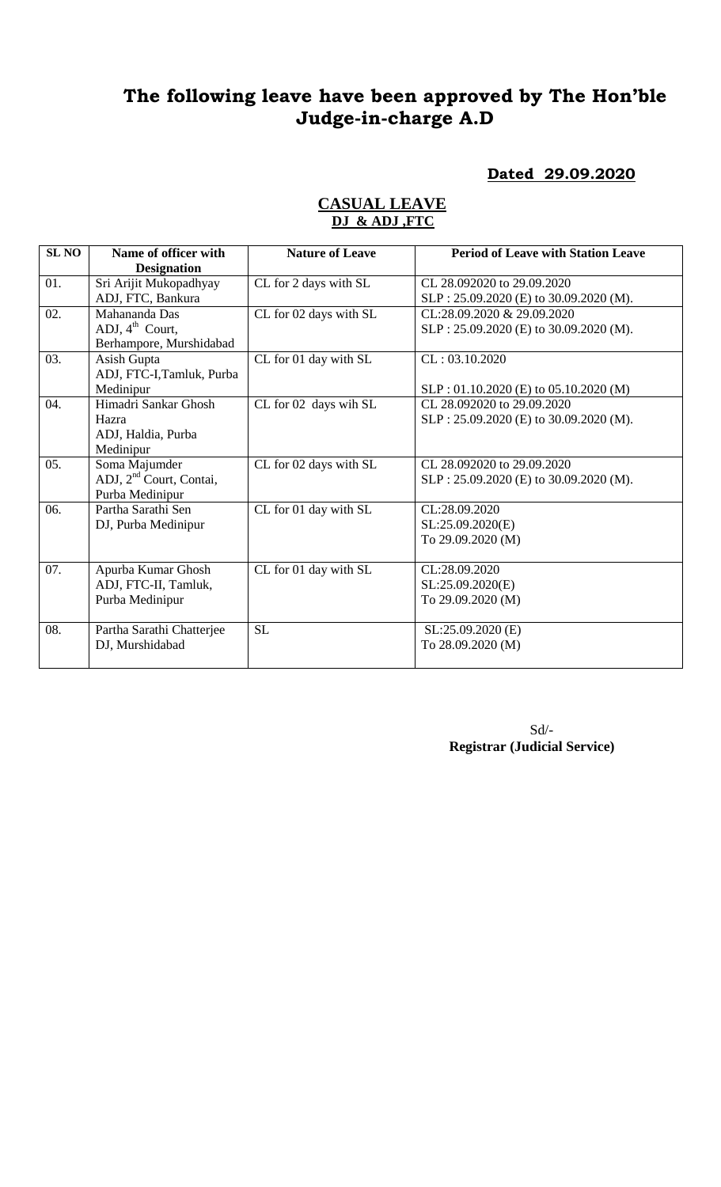# **The following leave have been approved by The Hon'ble Judge-in-charge A.D**

### **Dated 29.09.2020**

| <b>SL NO</b> | Name of officer with                | <b>Nature of Leave</b> | <b>Period of Leave with Station Leave</b> |
|--------------|-------------------------------------|------------------------|-------------------------------------------|
|              | <b>Designation</b>                  |                        |                                           |
| 01.          | Sri Arijit Mukopadhyay              | CL for 2 days with SL  | CL 28.092020 to 29.09.2020                |
|              | ADJ, FTC, Bankura                   |                        | SLP: 25.09.2020 (E) to 30.09.2020 (M).    |
| 02.          | Mahananda Das                       | CL for 02 days with SL | CL:28.09.2020 & 29.09.2020                |
|              | ADJ, $4^{\text{th}}$ Court,         |                        | SLP: 25.09.2020 (E) to 30.09.2020 (M).    |
|              | Berhampore, Murshidabad             |                        |                                           |
| 03.          | Asish Gupta                         | CL for 01 day with SL  | CL: 03.10.2020                            |
|              | ADJ, FTC-I, Tamluk, Purba           |                        |                                           |
|              | Medinipur                           |                        | SLP: 01.10.2020 (E) to 05.10.2020 (M)     |
| 04.          | Himadri Sankar Ghosh                | CL for 02 days wih SL  | CL 28.092020 to 29.09.2020                |
|              | Hazra                               |                        | $SLP: 25.09.2020$ (E) to 30.09.2020 (M).  |
|              | ADJ, Haldia, Purba                  |                        |                                           |
|              | Medinipur                           |                        |                                           |
| 05.          | Soma Majumder                       | CL for 02 days with SL | CL 28.092020 to 29.09.2020                |
|              | ADJ, 2 <sup>nd</sup> Court, Contai, |                        | SLP: 25.09.2020 (E) to 30.09.2020 (M).    |
|              | Purba Medinipur                     |                        |                                           |
| 06.          | Partha Sarathi Sen                  | CL for 01 day with SL  | CL:28.09.2020                             |
|              | DJ, Purba Medinipur                 |                        | SL:25.09.2020(E)                          |
|              |                                     |                        | To 29.09.2020 (M)                         |
|              |                                     |                        |                                           |
| 07.          | Apurba Kumar Ghosh                  | CL for 01 day with SL  | CL:28.09.2020                             |
|              | ADJ, FTC-II, Tamluk,                |                        | SL:25.09.2020(E)                          |
|              | Purba Medinipur                     |                        | To 29.09.2020 (M)                         |
|              |                                     |                        |                                           |
| 08.          | Partha Sarathi Chatterjee           | <b>SL</b>              | SL:25.09.2020 (E)                         |
|              | DJ, Murshidabad                     |                        | To 28.09.2020 (M)                         |
|              |                                     |                        |                                           |

#### **CASUAL LEAVE DJ & ADJ ,FTC**

Sd/- **Registrar (Judicial Service)**